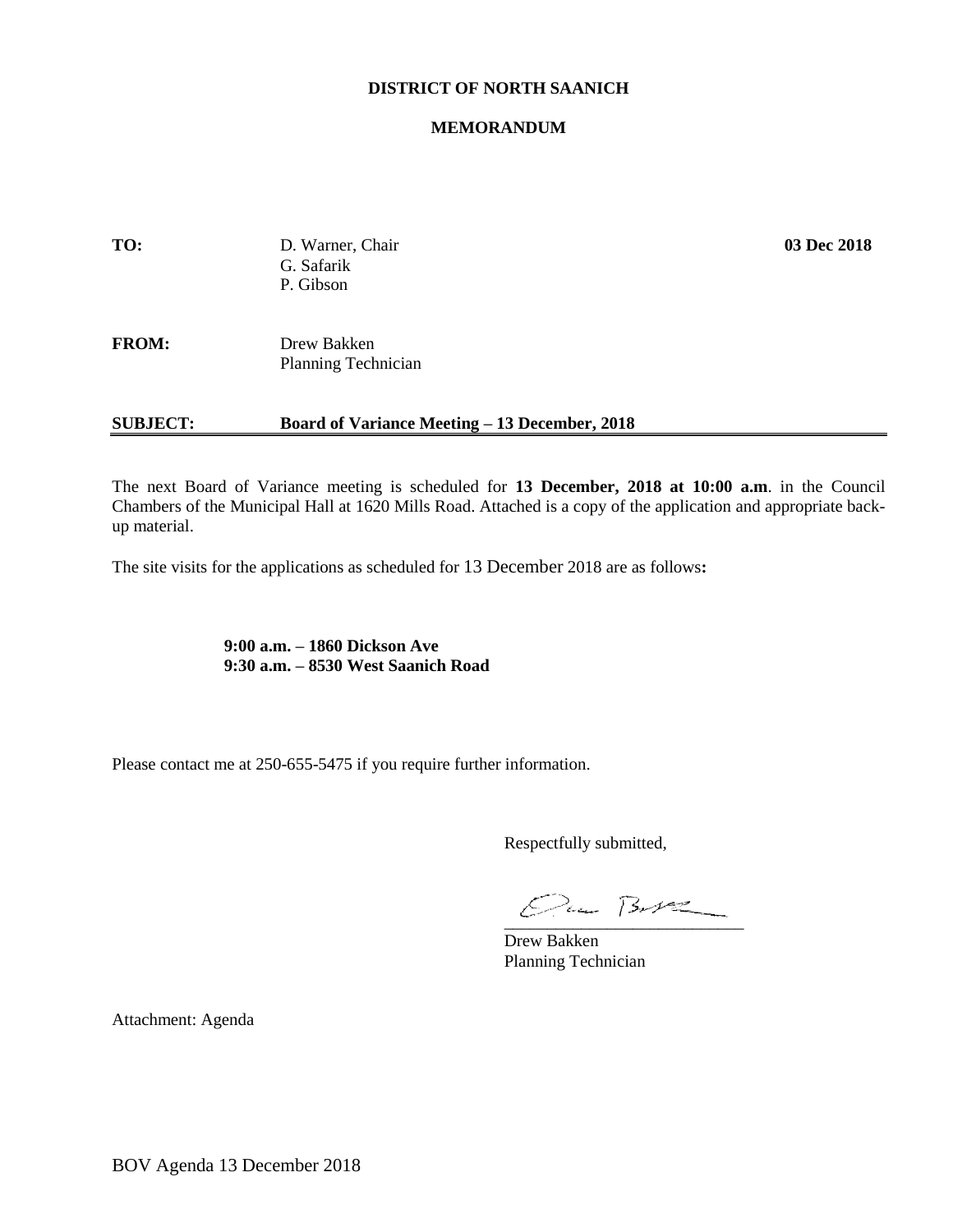### **DISTRICT OF NORTH SAANICH**

#### **MEMORANDUM**

| TO:             | D. Warner, Chair<br>G. Safarik<br>P. Gibson          | 03 Dec 2018 |
|-----------------|------------------------------------------------------|-------------|
| <b>FROM:</b>    | Drew Bakken<br>Planning Technician                   |             |
| <b>SUBJECT:</b> | <b>Board of Variance Meeting – 13 December, 2018</b> |             |

The next Board of Variance meeting is scheduled for **13 December, 2018 at 10:00 a.m**. in the Council Chambers of the Municipal Hall at 1620 Mills Road. Attached is a copy of the application and appropriate backup material.

The site visits for the applications as scheduled for 13 December 2018 are as follows**:**

**9:00 a.m. – 1860 Dickson Ave 9:30 a.m. – 8530 West Saanich Road**

Please contact me at 250-655-5475 if you require further information.

Respectfully submitted,

 $Qua B-V2$ 

Drew Bakken Planning Technician

Attachment: Agenda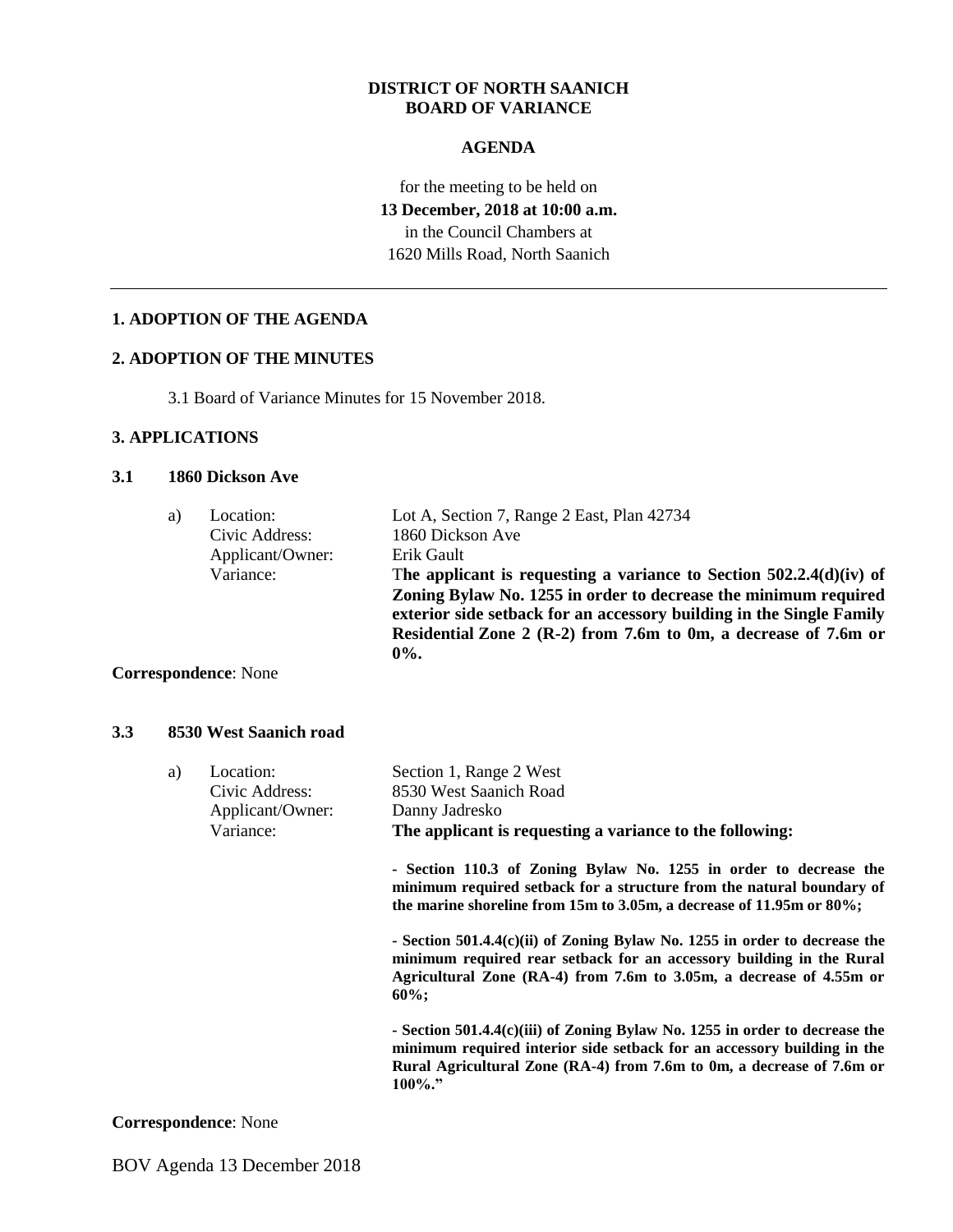### **DISTRICT OF NORTH SAANICH BOARD OF VARIANCE**

### **AGENDA**

## for the meeting to be held on **13 December, 2018 at 10:00 a.m.** in the Council Chambers at 1620 Mills Road, North Saanich

### **1. ADOPTION OF THE AGENDA**

#### **2. ADOPTION OF THE MINUTES**

3.1 Board of Variance Minutes for 15 November 2018.

### **3. APPLICATIONS**

### **3.1 1860 Dickson Ave**

| a) | Location:        | Lot A, Section 7, Range 2 East, Plan 42734                                                                                                                                                                            |
|----|------------------|-----------------------------------------------------------------------------------------------------------------------------------------------------------------------------------------------------------------------|
|    | Civic Address:   | 1860 Dickson Ave                                                                                                                                                                                                      |
|    | Applicant/Owner: | Erik Gault                                                                                                                                                                                                            |
|    | Variance:        | The applicant is requesting a variance to Section $502.2.4(d)(iv)$ of                                                                                                                                                 |
|    |                  | Zoning Bylaw No. 1255 in order to decrease the minimum required<br>exterior side setback for an accessory building in the Single Family<br>Residential Zone 2 (R-2) from 7.6m to 0m, a decrease of 7.6m or<br>$0\%$ . |

#### **Correspondence**: None

#### **3.3 8530 West Saanich road**

| a) | Location:<br>Civic Address:<br>Applicant/Owner:<br>Variance: | Section 1, Range 2 West<br>8530 West Saanich Road<br>Danny Jadresko<br>The applicant is requesting a variance to the following:                                                                                                           |
|----|--------------------------------------------------------------|-------------------------------------------------------------------------------------------------------------------------------------------------------------------------------------------------------------------------------------------|
|    |                                                              | - Section 110.3 of Zoning Bylaw No. 1255 in order to decrease the<br>minimum required setback for a structure from the natural boundary of<br>the marine shoreline from 15m to 3.05m, a decrease of 11.95m or 80%;                        |
|    |                                                              | - Section 501.4.4 $(c)$ (ii) of Zoning Bylaw No. 1255 in order to decrease the<br>minimum required rear setback for an accessory building in the Rural<br>Agricultural Zone (RA-4) from 7.6m to 3.05m, a decrease of 4.55m or<br>$60\%$ : |
|    |                                                              | - Section 501.4.4(c)(iii) of Zoning Bylaw No. 1255 in order to decrease the<br>minimum required interior side setback for an accessory building in the<br>Rural Agricultural Zone (RA-4) from 7.6m to 0m, a decrease of 7.6m or<br>100%." |

### **Correspondence**: None